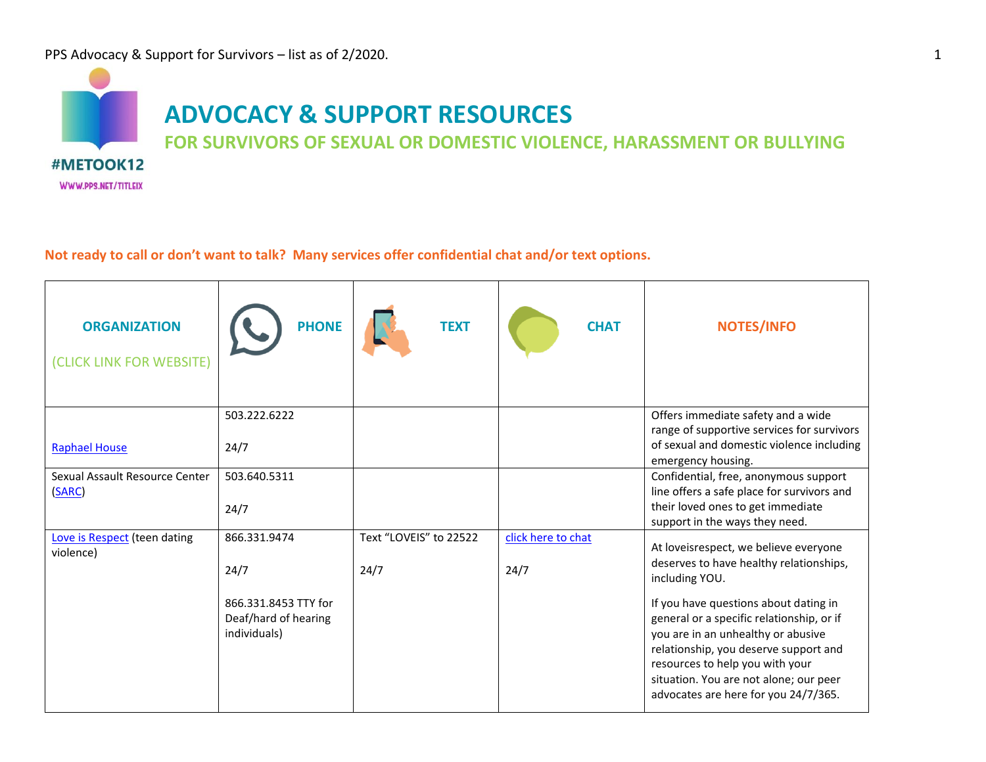

**Not ready to call or don't want to talk? Many services offer confidential chat and/or text options.** 

| <b>ORGANIZATION</b><br>(CLICK LINK FOR WEBSITE) | <b>PHONE</b>                                 | <b>TEXT</b>            | <b>CHAT</b>        | <b>NOTES/INFO</b>                                                                                                             |
|-------------------------------------------------|----------------------------------------------|------------------------|--------------------|-------------------------------------------------------------------------------------------------------------------------------|
|                                                 | 503.222.6222                                 |                        |                    | Offers immediate safety and a wide<br>range of supportive services for survivors<br>of sexual and domestic violence including |
| <b>Raphael House</b>                            | 24/7                                         |                        |                    | emergency housing.                                                                                                            |
| Sexual Assault Resource Center<br>(SARC)        | 503.640.5311                                 |                        |                    | Confidential, free, anonymous support<br>line offers a safe place for survivors and                                           |
|                                                 | 24/7                                         |                        |                    | their loved ones to get immediate<br>support in the ways they need.                                                           |
| Love is Respect (teen dating<br>violence)       | 866.331.9474                                 | Text "LOVEIS" to 22522 | click here to chat | At loveisrespect, we believe everyone                                                                                         |
|                                                 | 24/7                                         | 24/7                   | 24/7               | deserves to have healthy relationships,<br>including YOU.                                                                     |
|                                                 | 866.331.8453 TTY for<br>Deaf/hard of hearing |                        |                    | If you have questions about dating in<br>general or a specific relationship, or if                                            |
|                                                 | individuals)                                 |                        |                    | you are in an unhealthy or abusive<br>relationship, you deserve support and<br>resources to help you with your                |
|                                                 |                                              |                        |                    | situation. You are not alone; our peer<br>advocates are here for you 24/7/365.                                                |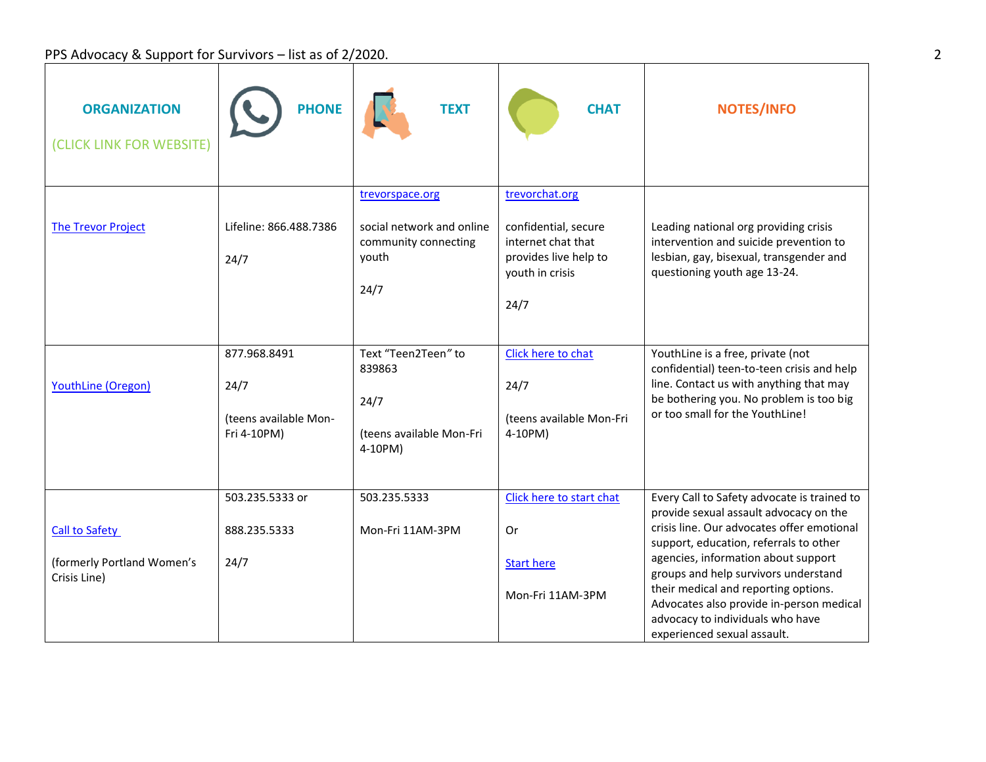## PPS Advocacy & Support for Survivors – list as of 2/2020.

| <b>ORGANIZATION</b><br>(CLICK LINK FOR WEBSITE)                     | <b>PHONE</b>                                                 | <b>TEXT</b>                                                                           | <b>CHAT</b>                                                                                                      | <b>NOTES/INFO</b>                                                                                                                                                                                                                                                                                                                                                                                                   |
|---------------------------------------------------------------------|--------------------------------------------------------------|---------------------------------------------------------------------------------------|------------------------------------------------------------------------------------------------------------------|---------------------------------------------------------------------------------------------------------------------------------------------------------------------------------------------------------------------------------------------------------------------------------------------------------------------------------------------------------------------------------------------------------------------|
| <b>The Trevor Project</b>                                           | Lifeline: 866.488.7386<br>24/7                               | trevorspace.org<br>social network and online<br>community connecting<br>youth<br>24/7 | trevorchat.org<br>confidential, secure<br>internet chat that<br>provides live help to<br>youth in crisis<br>24/7 | Leading national org providing crisis<br>intervention and suicide prevention to<br>lesbian, gay, bisexual, transgender and<br>questioning youth age 13-24.                                                                                                                                                                                                                                                          |
| YouthLine (Oregon)                                                  | 877.968.8491<br>24/7<br>(teens available Mon-<br>Fri 4-10PM) | Text "Teen2Teen" to<br>839863<br>24/7<br>(teens available Mon-Fri<br>4-10PM)          | Click here to chat<br>24/7<br>(teens available Mon-Fri<br>4-10PM)                                                | YouthLine is a free, private (not<br>confidential) teen-to-teen crisis and help<br>line. Contact us with anything that may<br>be bothering you. No problem is too big<br>or too small for the YouthLine!                                                                                                                                                                                                            |
| <b>Call to Safety</b><br>(formerly Portland Women's<br>Crisis Line) | 503.235.5333 or<br>888.235.5333<br>24/7                      | 503.235.5333<br>Mon-Fri 11AM-3PM                                                      | Click here to start chat<br>Or<br><b>Start here</b><br>Mon-Fri 11AM-3PM                                          | Every Call to Safety advocate is trained to<br>provide sexual assault advocacy on the<br>crisis line. Our advocates offer emotional<br>support, education, referrals to other<br>agencies, information about support<br>groups and help survivors understand<br>their medical and reporting options.<br>Advocates also provide in-person medical<br>advocacy to individuals who have<br>experienced sexual assault. |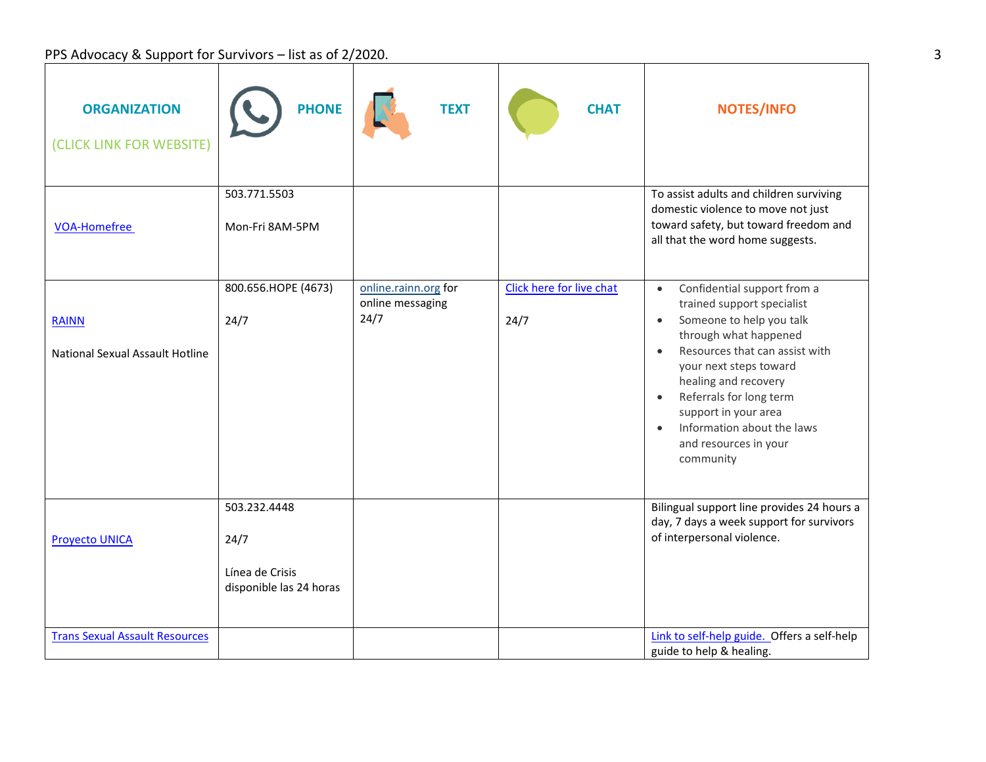PPS Advocacy & Support for Survivors – list as of 2/2020.

| <b>ORGANIZATION</b><br>(CLICK LINK FOR WEBSITE)        | <b>PHONE</b>                                                       | <b>TEXT</b>                                      | <b>CHAT</b>                      | <b>NOTES/INFO</b>                                                                                                                                                                                                                                                                                                                                                             |
|--------------------------------------------------------|--------------------------------------------------------------------|--------------------------------------------------|----------------------------------|-------------------------------------------------------------------------------------------------------------------------------------------------------------------------------------------------------------------------------------------------------------------------------------------------------------------------------------------------------------------------------|
| <b>VOA-Homefree</b>                                    | 503.771.5503<br>Mon-Fri 8AM-5PM                                    |                                                  |                                  | To assist adults and children surviving<br>domestic violence to move not just<br>toward safety, but toward freedom and<br>all that the word home suggests.                                                                                                                                                                                                                    |
| <b>RAINN</b><br><b>National Sexual Assault Hotline</b> | 800.656.HOPE (4673)<br>24/7                                        | online.rainn.org for<br>online messaging<br>24/7 | Click here for live chat<br>24/7 | Confidential support from a<br>trained support specialist<br>Someone to help you talk<br>$\bullet$<br>through what happened<br>Resources that can assist with<br>$\bullet$<br>your next steps toward<br>healing and recovery<br>Referrals for long term<br>$\bullet$<br>support in your area<br>Information about the laws<br>$\bullet$<br>and resources in your<br>community |
| <b>Proyecto UNICA</b>                                  | 503.232.4448<br>24/7<br>Línea de Crisis<br>disponible las 24 horas |                                                  |                                  | Bilingual support line provides 24 hours a<br>day, 7 days a week support for survivors<br>of interpersonal violence.                                                                                                                                                                                                                                                          |
| <b>Trans Sexual Assault Resources</b>                  |                                                                    |                                                  |                                  | Link to self-help guide. Offers a self-help<br>guide to help & healing.                                                                                                                                                                                                                                                                                                       |